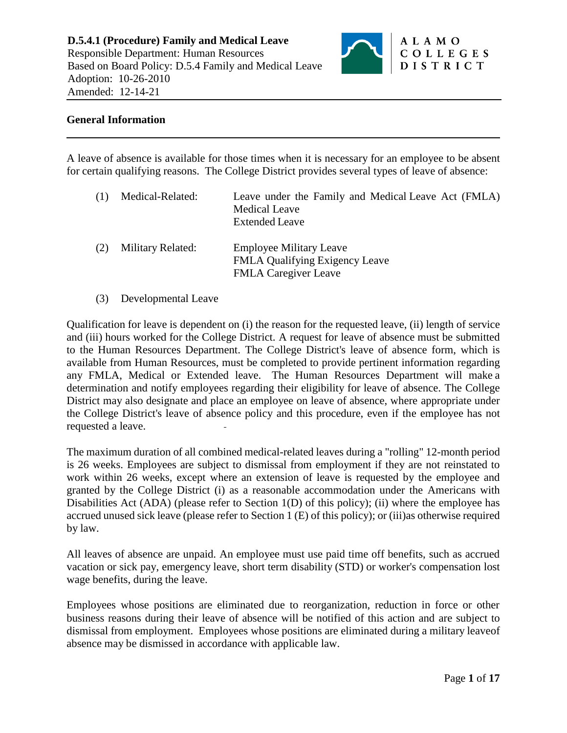

### **General Information**

A leave of absence is available for those times when it is necessary for an employee to be absent for certain qualifying reasons. The College District provides several types of leave of absence:

| (1) | Medical-Related:  | Leave under the Family and Medical Leave Act (FMLA)<br><b>Medical Leave</b><br><b>Extended Leave</b>   |
|-----|-------------------|--------------------------------------------------------------------------------------------------------|
| (2) | Military Related: | <b>Employee Military Leave</b><br><b>FMLA Qualifying Exigency Leave</b><br><b>FMLA Caregiver Leave</b> |

(3) Developmental Leave

Qualification for leave is dependent on (i) the reason for the requested leave, (ii) length of service and (iii) hours worked for the College District. A request for leave of absence must be submitted to the Human Resources Department. The College District's leave of absence form, which is available from Human Resources, must be completed to provide pertinent information regarding any FMLA, Medical or Extended leave. The Human Resources Department will make a determination and notify employees regarding their eligibility for leave of absence. The College District may also designate and place an employee on leave of absence, where appropriate under the College District's leave of absence policy and this procedure, even if the employee has not requested a leave.

The maximum duration of all combined medical-related leaves during a "rolling" 12-month period is 26 weeks. Employees are subject to dismissal from employment if they are not reinstated to work within 26 weeks, except where an extension of leave is requested by the employee and granted by the College District (i) as a reasonable accommodation under the Americans with Disabilities Act (ADA) (please refer to Section  $1(D)$  of this policy); (ii) where the employee has accrued unused sick leave (please refer to Section 1 (E) of this policy); or (iii)as otherwise required by law.

All leaves of absence are unpaid. An employee must use paid time off benefits, such as accrued vacation or sick pay, emergency leave, short term disability (STD) or worker's compensation lost wage benefits, during the leave.

Employees whose positions are eliminated due to reorganization, reduction in force or other business reasons during their leave of absence will be notified of this action and are subject to dismissal from employment. Employees whose positions are eliminated during a military leaveof absence may be dismissed in accordance with applicable law.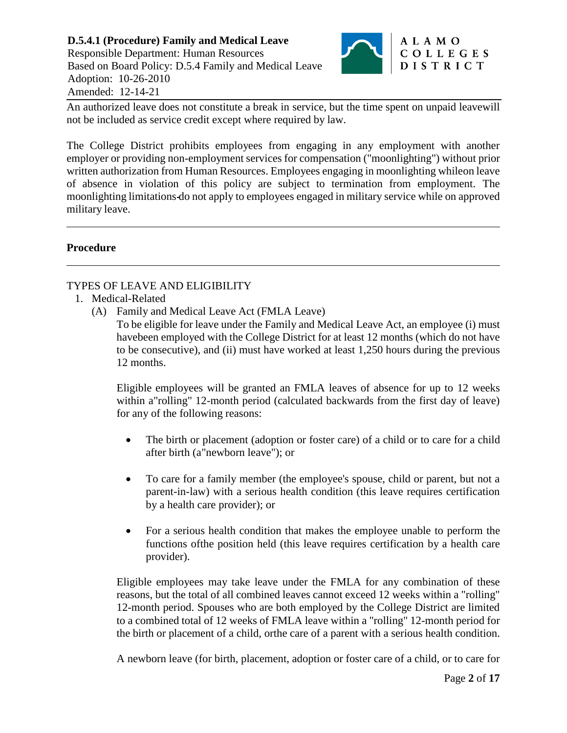

An authorized leave does not constitute a break in service, but the time spent on unpaid leavewill not be included as service credit except where required by law.

The College District prohibits employees from engaging in any employment with another employer or providing non-employment services for compensation ("moonlighting") without prior written authorization from Human Resources. Employees engaging in moonlighting whileon leave of absence in violation of this policy are subject to termination from employment. The moonlighting limitations do not apply to employees engaged in military service while on approved military leave.

# **Procedure**

# TYPES OF LEAVE AND ELIGIBILITY

- 1. Medical-Related
	- (A) Family and Medical Leave Act (FMLA Leave)

To be eligible for leave under the Family and Medical Leave Act, an employee (i) must havebeen employed with the College District for at least 12 months (which do not have to be consecutive), and (ii) must have worked at least 1,250 hours during the previous 12 months.

Eligible employees will be granted an FMLA leaves of absence for up to 12 weeks within a"rolling" 12-month period (calculated backwards from the first day of leave) for any of the following reasons:

- The birth or placement (adoption or foster care) of a child or to care for a child after birth (a"newborn leave"); or
- To care for a family member (the employee's spouse, child or parent, but not a parent-in-law) with a serious health condition (this leave requires certification by a health care provider); or
- For a serious health condition that makes the employee unable to perform the functions ofthe position held (this leave requires certification by a health care provider).

Eligible employees may take leave under the FMLA for any combination of these reasons, but the total of all combined leaves cannot exceed 12 weeks within a "rolling" 12-month period. Spouses who are both employed by the College District are limited to a combined total of 12 weeks of FMLA leave within a "rolling" 12-month period for the birth or placement of a child, orthe care of a parent with a serious health condition.

A newborn leave (for birth, placement, adoption or foster care of a child, or to care for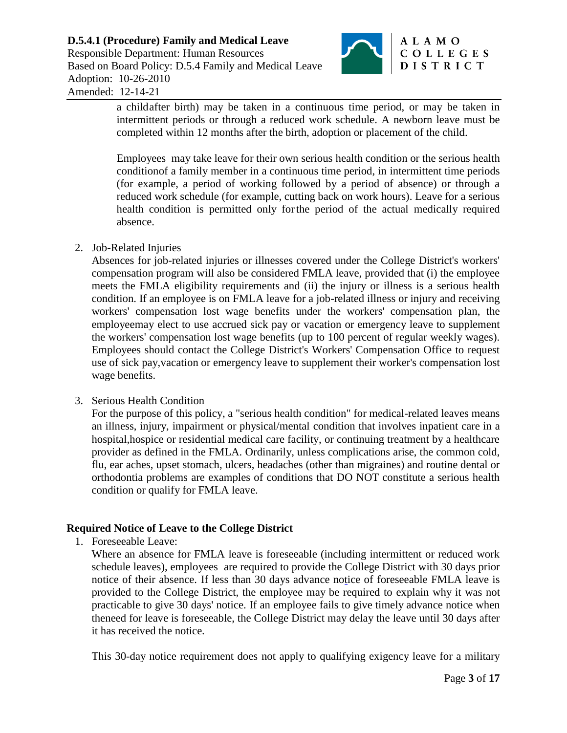

a childafter birth) may be taken in a continuous time period, or may be taken in intermittent periods or through a reduced work schedule. A newborn leave must be completed within 12 months after the birth, adoption or placement of the child.

Employees may take leave for their own serious health condition or the serious health conditionof a family member in a continuous time period, in intermittent time periods (for example, a period of working followed by a period of absence) or through a reduced work schedule (for example, cutting back on work hours). Leave for a serious health condition is permitted only forthe period of the actual medically required absence.

2. Job-Related Injuries

Absences for job-related injuries or illnesses covered under the College District's workers' compensation program will also be considered FMLA leave, provided that (i) the employee meets the FMLA eligibility requirements and (ii) the injury or illness is a serious health condition. If an employee is on FMLA leave for a job-related illness or injury and receiving workers' compensation lost wage benefits under the workers' compensation plan, the employeemay elect to use accrued sick pay or vacation or emergency leave to supplement the workers' compensation lost wage benefits (up to 100 percent of regular weekly wages). Employees should contact the College District's Workers' Compensation Office to request use of sick pay,vacation or emergency leave to supplement their worker's compensation lost wage benefits.

3. Serious Health Condition

For the purpose of this policy, a "serious health condition" for medical-related leaves means an illness, injury, impairment or physical/mental condition that involves inpatient care in a hospital,hospice or residential medical care facility, or continuing treatment by a healthcare provider as defined in the FMLA. Ordinarily, unless complications arise, the common cold, flu, ear aches, upset stomach, ulcers, headaches (other than migraines) and routine dental or orthodontia problems are examples of conditions that DO NOT constitute a serious health condition or qualify for FMLA leave.

# **Required Notice of Leave to the College District**

1. Foreseeable Leave:

Where an absence for FMLA leave is foreseeable (including intermittent or reduced work schedule leaves), employees are required to provide the College District with 30 days prior notice of their absence. If less than 30 days advance notice of foreseeable FMLA leave is provided to the College District, the employee may be required to explain why it was not practicable to give 30 days' notice. If an employee fails to give timely advance notice when theneed for leave is foreseeable, the College District may delay the leave until 30 days after it has received the notice.

This 30-day notice requirement does not apply to qualifying exigency leave for a military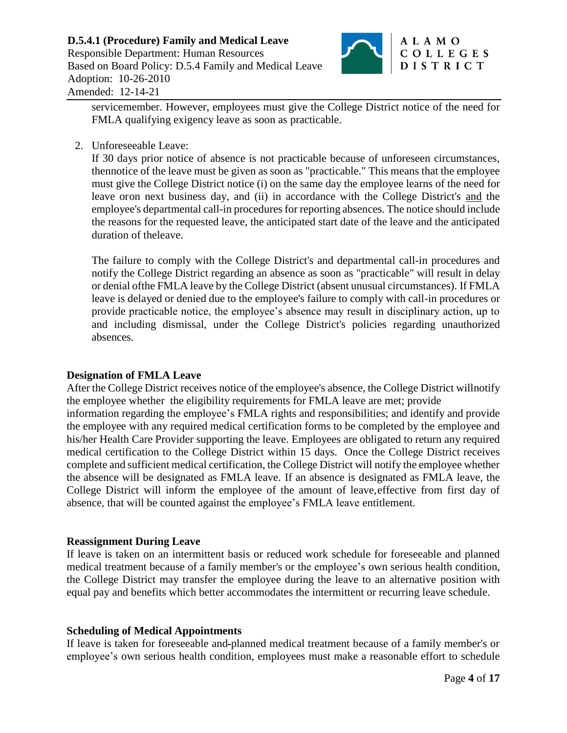

servicemember. However, employees must give the College District notice of the need for FMLA qualifying exigency leave as soon as practicable.

2. Unforeseeable Leave:

If 30 days prior notice of absence is not practicable because of unforeseen circumstances, thennotice of the leave must be given as soon as "practicable." This means that the employee must give the College District notice (i) on the same day the employee learns of the need for leave oron next business day, and (ii) in accordance with the College District's and the employee's departmental call-in procedures for reporting absences. The notice should include the reasons for the requested leave, the anticipated start date of the leave and the anticipated duration of theleave.

The failure to comply with the College District's and departmental call-in procedures and notify the College District regarding an absence as soon as "practicable" will result in delay or denial ofthe FMLA leave by the College District (absent unusual circumstances). If FMLA leave is delayed or denied due to the employee's failure to comply with call-in procedures or provide practicable notice, the employee's absence may result in disciplinary action, up to and including dismissal, under the College District's policies regarding unauthorized absences.

#### **Designation of FMLA Leave**

After the College District receives notice of the employee's absence, the College District willnotify the employee whether the eligibility requirements for FMLA leave are met; provide information regarding the employee's FMLA rights and responsibilities; and identify and provide the employee with any required medical certification forms to be completed by the employee and his/her Health Care Provider supporting the leave. Employees are obligated to return any required medical certification to the College District within 15 days. Once the College District receives complete and sufficient medical certification, the College District will notify the employee whether the absence will be designated as FMLA leave. If an absence is designated as FMLA leave, the College District will inform the employee of the amount of leave,effective from first day of absence, that will be counted against the employee's FMLA leave entitlement.

# **Reassignment During Leave**

If leave is taken on an intermittent basis or reduced work schedule for foreseeable and planned medical treatment because of a family member's or the employee's own serious health condition, the College District may transfer the employee during the leave to an alternative position with equal pay and benefits which better accommodates the intermittent or recurring leave schedule.

#### **Scheduling of Medical Appointments**

If leave is taken for foreseeable and planned medical treatment because of a family member's or employee's own serious health condition, employees must make a reasonable effort to schedule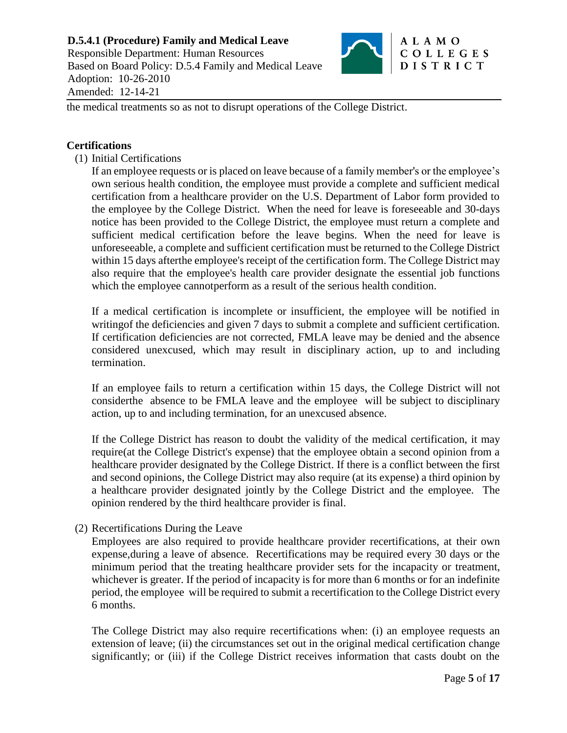

the medical treatments so as not to disrupt operations of the College District.

#### **Certifications**

(1) Initial Certifications

If an employee requests or is placed on leave because of a family member's or the employee's own serious health condition, the employee must provide a complete and sufficient medical certification from a healthcare provider on the U.S. Department of Labor form provided to the employee by the College District. When the need for leave is foreseeable and 30-days notice has been provided to the College District, the employee must return a complete and sufficient medical certification before the leave begins. When the need for leave is unforeseeable, a complete and sufficient certification must be returned to the College District within 15 days afterthe employee's receipt of the certification form. The College District may also require that the employee's health care provider designate the essential job functions which the employee cannot perform as a result of the serious health condition.

If a medical certification is incomplete or insufficient, the employee will be notified in writing of the deficiencies and given 7 days to submit a complete and sufficient certification. If certification deficiencies are not corrected, FMLA leave may be denied and the absence considered unexcused, which may result in disciplinary action, up to and including termination.

If an employee fails to return a certification within 15 days, the College District will not considerthe absence to be FMLA leave and the employee will be subject to disciplinary action, up to and including termination, for an unexcused absence.

If the College District has reason to doubt the validity of the medical certification, it may require(at the College District's expense) that the employee obtain a second opinion from a healthcare provider designated by the College District. If there is a conflict between the first and second opinions, the College District may also require (at its expense) a third opinion by a healthcare provider designated jointly by the College District and the employee. The opinion rendered by the third healthcare provider is final.

(2) Recertifications During the Leave

Employees are also required to provide healthcare provider recertifications, at their own expense,during a leave of absence. Recertifications may be required every 30 days or the minimum period that the treating healthcare provider sets for the incapacity or treatment, whichever is greater. If the period of incapacity is for more than 6 months or for an indefinite period, the employee will be required to submit a recertification to the College District every 6 months.

The College District may also require recertifications when: (i) an employee requests an extension of leave; (ii) the circumstances set out in the original medical certification change significantly; or (iii) if the College District receives information that casts doubt on the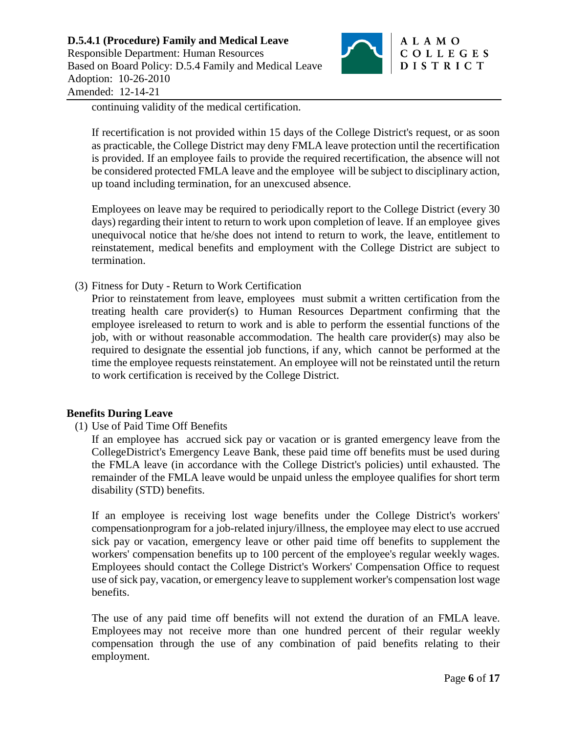

continuing validity of the medical certification.

If recertification is not provided within 15 days of the College District's request, or as soon as practicable, the College District may deny FMLA leave protection until the recertification is provided. If an employee fails to provide the required recertification, the absence will not be considered protected FMLA leave and the employee will be subject to disciplinary action, up toand including termination, for an unexcused absence.

Employees on leave may be required to periodically report to the College District (every 30 days) regarding their intent to return to work upon completion of leave. If an employee gives unequivocal notice that he/she does not intend to return to work, the leave, entitlement to reinstatement, medical benefits and employment with the College District are subject to termination.

(3) Fitness for Duty - Return to Work Certification

Prior to reinstatement from leave, employees must submit a written certification from the treating health care provider(s) to Human Resources Department confirming that the employee isreleased to return to work and is able to perform the essential functions of the job, with or without reasonable accommodation. The health care provider(s) may also be required to designate the essential job functions, if any, which cannot be performed at the time the employee requests reinstatement. An employee will not be reinstated until the return to work certification is received by the College District.

# **Benefits During Leave**

(1) Use of Paid Time Off Benefits

If an employee has accrued sick pay or vacation or is granted emergency leave from the CollegeDistrict's Emergency Leave Bank, these paid time off benefits must be used during the FMLA leave (in accordance with the College District's policies) until exhausted. The remainder of the FMLA leave would be unpaid unless the employee qualifies for short term disability (STD) benefits.

If an employee is receiving lost wage benefits under the College District's workers' compensationprogram for a job-related injury/illness, the employee may elect to use accrued sick pay or vacation, emergency leave or other paid time off benefits to supplement the workers' compensation benefits up to 100 percent of the employee's regular weekly wages. Employees should contact the College District's Workers' Compensation Office to request use of sick pay, vacation, or emergency leave to supplement worker's compensation lost wage benefits.

The use of any paid time off benefits will not extend the duration of an FMLA leave. Employees may not receive more than one hundred percent of their regular weekly compensation through the use of any combination of paid benefits relating to their employment.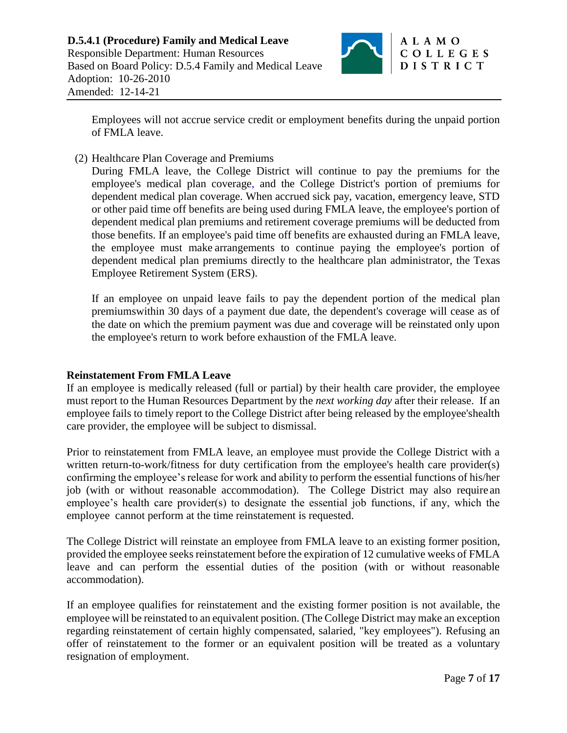

Employees will not accrue service credit or employment benefits during the unpaid portion of FMLA leave.

(2) Healthcare Plan Coverage and Premiums

During FMLA leave, the College District will continue to pay the premiums for the employee's medical plan coverage, and the College District's portion of premiums for dependent medical plan coverage. When accrued sick pay, vacation, emergency leave, STD or other paid time off benefits are being used during FMLA leave, the employee's portion of dependent medical plan premiums and retirement coverage premiums will be deducted from those benefits. If an employee's paid time off benefits are exhausted during an FMLA leave, the employee must make arrangements to continue paying the employee's portion of dependent medical plan premiums directly to the healthcare plan administrator, the Texas Employee Retirement System (ERS).

If an employee on unpaid leave fails to pay the dependent portion of the medical plan premiumswithin 30 days of a payment due date, the dependent's coverage will cease as of the date on which the premium payment was due and coverage will be reinstated only upon the employee's return to work before exhaustion of the FMLA leave.

#### **Reinstatement From FMLA Leave**

If an employee is medically released (full or partial) by their health care provider, the employee must report to the Human Resources Department by the *next working day* after their release. If an employee fails to timely report to the College District after being released by the employee'shealth care provider, the employee will be subject to dismissal.

Prior to reinstatement from FMLA leave, an employee must provide the College District with a written return-to-work/fitness for duty certification from the employee's health care provider(s) confirming the employee's release for work and ability to perform the essential functions of his/her job (with or without reasonable accommodation). The College District may also require an employee's health care provider(s) to designate the essential job functions, if any, which the employee cannot perform at the time reinstatement is requested.

The College District will reinstate an employee from FMLA leave to an existing former position, provided the employee seeks reinstatement before the expiration of 12 cumulative weeks of FMLA leave and can perform the essential duties of the position (with or without reasonable accommodation).

If an employee qualifies for reinstatement and the existing former position is not available, the employee will be reinstated to an equivalent position. (The College District may make an exception regarding reinstatement of certain highly compensated, salaried, "key employees"). Refusing an offer of reinstatement to the former or an equivalent position will be treated as a voluntary resignation of employment.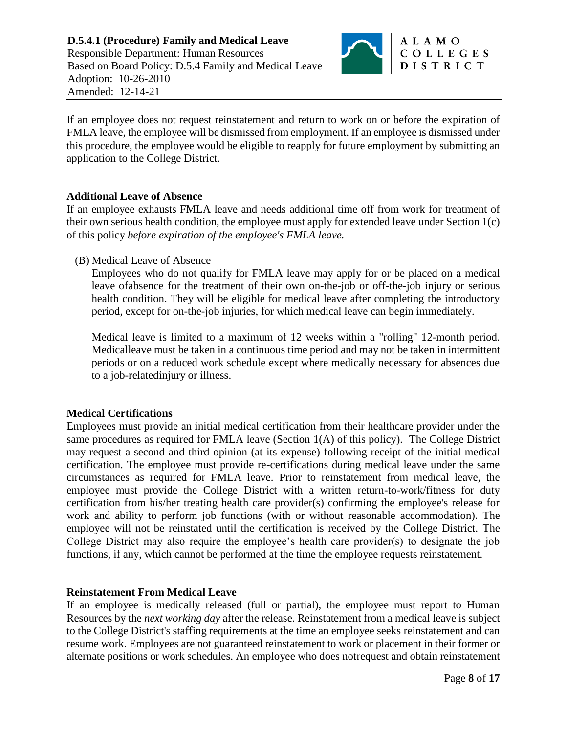

If an employee does not request reinstatement and return to work on or before the expiration of FMLA leave, the employee will be dismissed from employment. If an employee is dismissed under this procedure, the employee would be eligible to reapply for future employment by submitting an application to the College District.

# **Additional Leave of Absence**

If an employee exhausts FMLA leave and needs additional time off from work for treatment of their own serious health condition, the employee must apply for extended leave under Section 1(c) of this policy *before expiration of the employee's FMLA leave.*

(B) Medical Leave of Absence

Employees who do not qualify for FMLA leave may apply for or be placed on a medical leave ofabsence for the treatment of their own on-the-job or off-the-job injury or serious health condition. They will be eligible for medical leave after completing the introductory period, except for on-the-job injuries, for which medical leave can begin immediately.

Medical leave is limited to a maximum of 12 weeks within a "rolling" 12-month period. Medicalleave must be taken in a continuous time period and may not be taken in intermittent periods or on a reduced work schedule except where medically necessary for absences due to a job-relatedinjury or illness.

# **Medical Certifications**

Employees must provide an initial medical certification from their healthcare provider under the same procedures as required for FMLA leave (Section 1(A) of this policy). The College District may request a second and third opinion (at its expense) following receipt of the initial medical certification. The employee must provide re-certifications during medical leave under the same circumstances as required for FMLA leave. Prior to reinstatement from medical leave, the employee must provide the College District with a written return-to-work/fitness for duty certification from his/her treating health care provider(s) confirming the employee's release for work and ability to perform job functions (with or without reasonable accommodation). The employee will not be reinstated until the certification is received by the College District. The College District may also require the employee's health care provider(s) to designate the job functions, if any, which cannot be performed at the time the employee requests reinstatement.

# **Reinstatement From Medical Leave**

If an employee is medically released (full or partial), the employee must report to Human Resources by the *next working day* after the release. Reinstatement from a medical leave is subject to the College District's staffing requirements at the time an employee seeks reinstatement and can resume work. Employees are not guaranteed reinstatement to work or placement in their former or alternate positions or work schedules. An employee who does notrequest and obtain reinstatement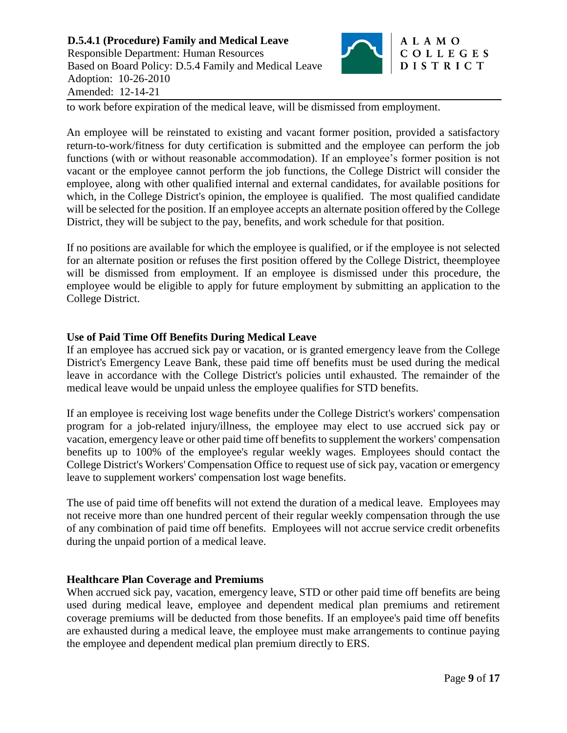

to work before expiration of the medical leave, will be dismissed from employment.

An employee will be reinstated to existing and vacant former position, provided a satisfactory return-to-work/fitness for duty certification is submitted and the employee can perform the job functions (with or without reasonable accommodation). If an employee's former position is not vacant or the employee cannot perform the job functions, the College District will consider the employee, along with other qualified internal and external candidates, for available positions for which, in the College District's opinion, the employee is qualified. The most qualified candidate will be selected for the position. If an employee accepts an alternate position offered by the College District, they will be subject to the pay, benefits, and work schedule for that position.

If no positions are available for which the employee is qualified, or if the employee is not selected for an alternate position or refuses the first position offered by the College District, theemployee will be dismissed from employment. If an employee is dismissed under this procedure, the employee would be eligible to apply for future employment by submitting an application to the College District.

### **Use of Paid Time Off Benefits During Medical Leave**

If an employee has accrued sick pay or vacation, or is granted emergency leave from the College District's Emergency Leave Bank, these paid time off benefits must be used during the medical leave in accordance with the College District's policies until exhausted. The remainder of the medical leave would be unpaid unless the employee qualifies for STD benefits.

If an employee is receiving lost wage benefits under the College District's workers' compensation program for a job-related injury/illness, the employee may elect to use accrued sick pay or vacation, emergency leave or other paid time off benefits to supplement the workers' compensation benefits up to 100% of the employee's regular weekly wages. Employees should contact the College District's Workers' Compensation Office to request use of sick pay, vacation or emergency leave to supplement workers' compensation lost wage benefits.

The use of paid time off benefits will not extend the duration of a medical leave. Employees may not receive more than one hundred percent of their regular weekly compensation through the use of any combination of paid time off benefits. Employees will not accrue service credit orbenefits during the unpaid portion of a medical leave.

#### **Healthcare Plan Coverage and Premiums**

When accrued sick pay, vacation, emergency leave, STD or other paid time off benefits are being used during medical leave, employee and dependent medical plan premiums and retirement coverage premiums will be deducted from those benefits. If an employee's paid time off benefits are exhausted during a medical leave, the employee must make arrangements to continue paying the employee and dependent medical plan premium directly to ERS.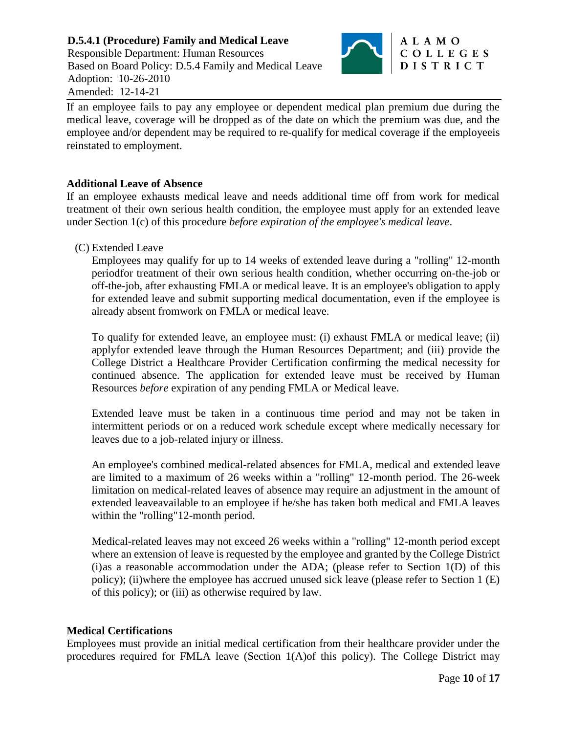**D.5.4.1 (Procedure) Family and Medical Leave** Responsible Department: Human Resources Based on Board Policy: D.5.4 Family and Medical Leave Adoption: 10-26-2010 Amended: 12-14-21



If an employee fails to pay any employee or dependent medical plan premium due during the medical leave, coverage will be dropped as of the date on which the premium was due, and the employee and/or dependent may be required to re-qualify for medical coverage if the employeeis reinstated to employment.

### **Additional Leave of Absence**

If an employee exhausts medical leave and needs additional time off from work for medical treatment of their own serious health condition, the employee must apply for an extended leave under Section 1(c) of this procedure *before expiration of the employee's medical leave*.

(C) Extended Leave

Employees may qualify for up to 14 weeks of extended leave during a "rolling" 12-month periodfor treatment of their own serious health condition, whether occurring on-the-job or off-the-job, after exhausting FMLA or medical leave. It is an employee's obligation to apply for extended leave and submit supporting medical documentation, even if the employee is already absent fromwork on FMLA or medical leave.

To qualify for extended leave, an employee must: (i) exhaust FMLA or medical leave; (ii) applyfor extended leave through the Human Resources Department; and (iii) provide the College District a Healthcare Provider Certification confirming the medical necessity for continued absence. The application for extended leave must be received by Human Resources *before* expiration of any pending FMLA or Medical leave.

Extended leave must be taken in a continuous time period and may not be taken in intermittent periods or on a reduced work schedule except where medically necessary for leaves due to a job-related injury or illness.

An employee's combined medical-related absences for FMLA, medical and extended leave are limited to a maximum of 26 weeks within a "rolling" 12-month period. The 26-week limitation on medical-related leaves of absence may require an adjustment in the amount of extended leaveavailable to an employee if he/she has taken both medical and FMLA leaves within the "rolling" 12-month period.

Medical-related leaves may not exceed 26 weeks within a "rolling" 12-month period except where an extension of leave is requested by the employee and granted by the College District (i)as a reasonable accommodation under the ADA; (please refer to Section 1(D) of this policy); (ii)where the employee has accrued unused sick leave (please refer to Section 1 (E) of this policy); or (iii) as otherwise required by law.

# **Medical Certifications**

Employees must provide an initial medical certification from their healthcare provider under the procedures required for FMLA leave (Section 1(A)of this policy). The College District may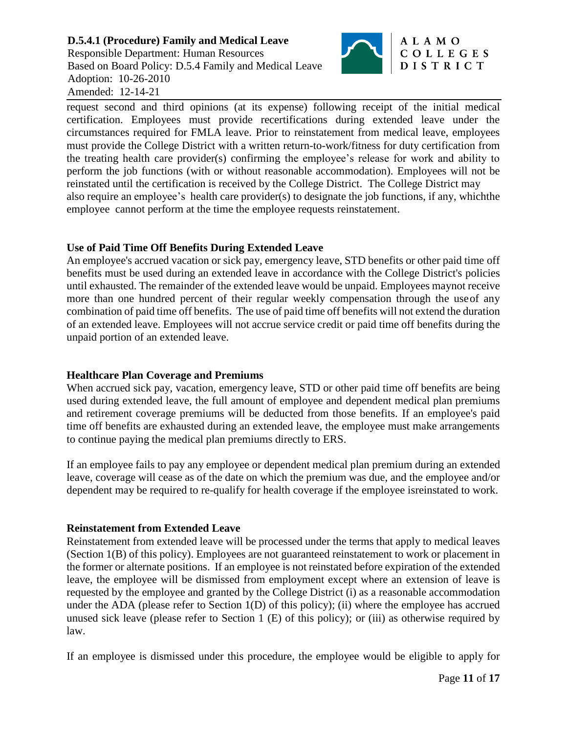### **D.5.4.1 (Procedure) Family and Medical Leave** Responsible Department: Human Resources Based on Board Policy: D.5.4 Family and Medical Leave Adoption: 10-26-2010 Amended: 12-14-21



### ALAMO COLLEGES DISTRICT

request second and third opinions (at its expense) following receipt of the initial medical certification. Employees must provide recertifications during extended leave under the circumstances required for FMLA leave. Prior to reinstatement from medical leave, employees must provide the College District with a written return-to-work/fitness for duty certification from the treating health care provider(s) confirming the employee's release for work and ability to perform the job functions (with or without reasonable accommodation). Employees will not be reinstated until the certification is received by the College District. The College District may also require an employee's health care provider(s) to designate the job functions, if any, whichthe employee cannot perform at the time the employee requests reinstatement.

# **Use of Paid Time Off Benefits During Extended Leave**

An employee's accrued vacation or sick pay, emergency leave, STD benefits or other paid time off benefits must be used during an extended leave in accordance with the College District's policies until exhausted. The remainder of the extended leave would be unpaid. Employees maynot receive more than one hundred percent of their regular weekly compensation through the useof any combination of paid time off benefits. The use of paid time off benefits will not extend the duration of an extended leave. Employees will not accrue service credit or paid time off benefits during the unpaid portion of an extended leave.

# **Healthcare Plan Coverage and Premiums**

When accrued sick pay, vacation, emergency leave, STD or other paid time off benefits are being used during extended leave, the full amount of employee and dependent medical plan premiums and retirement coverage premiums will be deducted from those benefits. If an employee's paid time off benefits are exhausted during an extended leave, the employee must make arrangements to continue paying the medical plan premiums directly to ERS.

If an employee fails to pay any employee or dependent medical plan premium during an extended leave, coverage will cease as of the date on which the premium was due, and the employee and/or dependent may be required to re-qualify for health coverage if the employee isreinstated to work.

# **Reinstatement from Extended Leave**

Reinstatement from extended leave will be processed under the terms that apply to medical leaves (Section 1(B) of this policy). Employees are not guaranteed reinstatement to work or placement in the former or alternate positions. If an employee is not reinstated before expiration of the extended leave, the employee will be dismissed from employment except where an extension of leave is requested by the employee and granted by the College District (i) as a reasonable accommodation under the ADA (please refer to Section  $1(D)$  of this policy); (ii) where the employee has accrued unused sick leave (please refer to Section 1 (E) of this policy); or (iii) as otherwise required by law.

If an employee is dismissed under this procedure, the employee would be eligible to apply for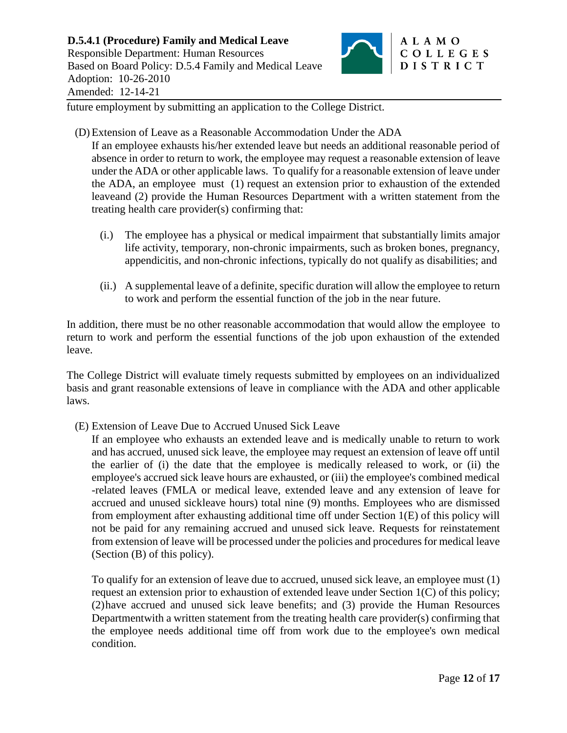

future employment by submitting an application to the College District.

(D) Extension of Leave as a Reasonable Accommodation Under the ADA

If an employee exhausts his/her extended leave but needs an additional reasonable period of absence in order to return to work, the employee may request a reasonable extension of leave under the ADA or other applicable laws. To qualify for a reasonable extension of leave under the ADA, an employee must (1) request an extension prior to exhaustion of the extended leaveand (2) provide the Human Resources Department with a written statement from the treating health care provider(s) confirming that:

- (i.) The employee has a physical or medical impairment that substantially limits amajor life activity, temporary, non-chronic impairments, such as broken bones, pregnancy, appendicitis, and non-chronic infections, typically do not qualify as disabilities; and
- (ii.) A supplemental leave of a definite, specific duration will allow the employee to return to work and perform the essential function of the job in the near future.

In addition, there must be no other reasonable accommodation that would allow the employee to return to work and perform the essential functions of the job upon exhaustion of the extended leave.

The College District will evaluate timely requests submitted by employees on an individualized basis and grant reasonable extensions of leave in compliance with the ADA and other applicable laws.

(E) Extension of Leave Due to Accrued Unused Sick Leave

If an employee who exhausts an extended leave and is medically unable to return to work and has accrued, unused sick leave, the employee may request an extension of leave off until the earlier of (i) the date that the employee is medically released to work, or (ii) the employee's accrued sick leave hours are exhausted, or (iii) the employee's combined medical -related leaves (FMLA or medical leave, extended leave and any extension of leave for accrued and unused sickleave hours) total nine (9) months. Employees who are dismissed from employment after exhausting additional time off under Section 1(E) of this policy will not be paid for any remaining accrued and unused sick leave. Requests for reinstatement from extension of leave will be processed under the policies and procedures for medical leave (Section (B) of this policy).

To qualify for an extension of leave due to accrued, unused sick leave, an employee must (1) request an extension prior to exhaustion of extended leave under Section 1(C) of this policy; (2)have accrued and unused sick leave benefits; and (3) provide the Human Resources Departmentwith a written statement from the treating health care provider(s) confirming that the employee needs additional time off from work due to the employee's own medical condition.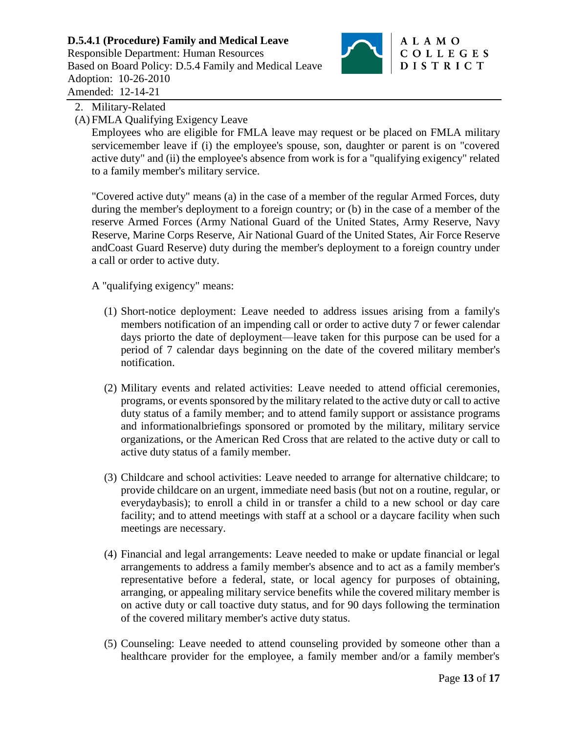

# 2. Military-Related

(A) FMLA Qualifying Exigency Leave

Employees who are eligible for FMLA leave may request or be placed on FMLA military servicemember leave if (i) the employee's spouse, son, daughter or parent is on "covered active duty" and (ii) the employee's absence from work is for a "qualifying exigency" related to a family member's military service.

"Covered active duty" means (a) in the case of a member of the regular Armed Forces, duty during the member's deployment to a foreign country; or (b) in the case of a member of the reserve Armed Forces (Army National Guard of the United States, Army Reserve, Navy Reserve, Marine Corps Reserve, Air National Guard of the United States, Air Force Reserve andCoast Guard Reserve) duty during the member's deployment to a foreign country under a call or order to active duty.

A "qualifying exigency" means:

- (1) Short-notice deployment: Leave needed to address issues arising from a family's members notification of an impending call or order to active duty 7 or fewer calendar days priorto the date of deployment—leave taken for this purpose can be used for a period of 7 calendar days beginning on the date of the covered military member's notification.
- (2) Military events and related activities: Leave needed to attend official ceremonies, programs, or events sponsored by the military related to the active duty or call to active duty status of a family member; and to attend family support or assistance programs and informationalbriefings sponsored or promoted by the military, military service organizations, or the American Red Cross that are related to the active duty or call to active duty status of a family member.
- (3) Childcare and school activities: Leave needed to arrange for alternative childcare; to provide childcare on an urgent, immediate need basis (but not on a routine, regular, or everydaybasis); to enroll a child in or transfer a child to a new school or day care facility; and to attend meetings with staff at a school or a daycare facility when such meetings are necessary.
- (4) Financial and legal arrangements: Leave needed to make or update financial or legal arrangements to address a family member's absence and to act as a family member's representative before a federal, state, or local agency for purposes of obtaining, arranging, or appealing military service benefits while the covered military member is on active duty or call toactive duty status, and for 90 days following the termination of the covered military member's active duty status.
- (5) Counseling: Leave needed to attend counseling provided by someone other than a healthcare provider for the employee, a family member and/or a family member's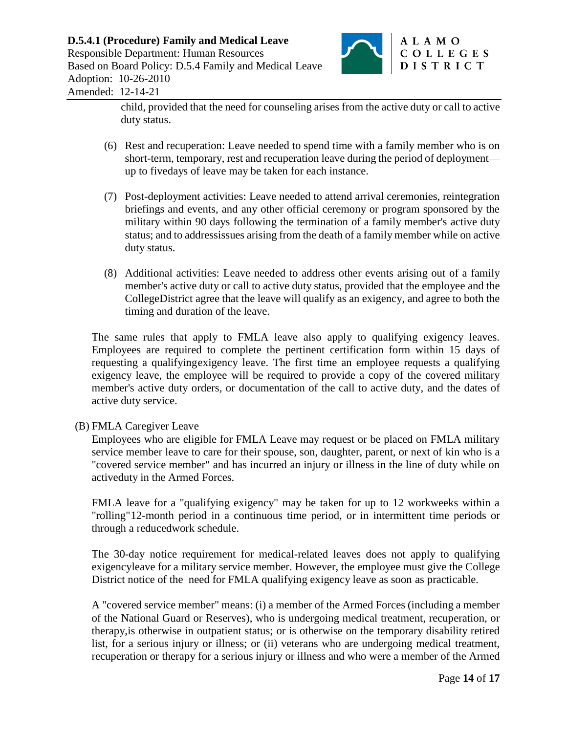

child, provided that the need for counseling arises from the active duty or call to active duty status.

- (6) Rest and recuperation: Leave needed to spend time with a family member who is on short-term, temporary, rest and recuperation leave during the period of deployment up to fivedays of leave may be taken for each instance.
- (7) Post-deployment activities: Leave needed to attend arrival ceremonies, reintegration briefings and events, and any other official ceremony or program sponsored by the military within 90 days following the termination of a family member's active duty status; and to addressissues arising from the death of a family member while on active duty status.
- (8) Additional activities: Leave needed to address other events arising out of a family member's active duty or call to active duty status, provided that the employee and the CollegeDistrict agree that the leave will qualify as an exigency, and agree to both the timing and duration of the leave.

The same rules that apply to FMLA leave also apply to qualifying exigency leaves. Employees are required to complete the pertinent certification form within 15 days of requesting a qualifyingexigency leave. The first time an employee requests a qualifying exigency leave, the employee will be required to provide a copy of the covered military member's active duty orders, or documentation of the call to active duty, and the dates of active duty service.

(B) FMLA Caregiver Leave

Employees who are eligible for FMLA Leave may request or be placed on FMLA military service member leave to care for their spouse, son, daughter, parent, or next of kin who is a "covered service member" and has incurred an injury or illness in the line of duty while on activeduty in the Armed Forces.

FMLA leave for a "qualifying exigency" may be taken for up to 12 workweeks within a "rolling"12-month period in a continuous time period, or in intermittent time periods or through a reducedwork schedule.

The 30-day notice requirement for medical-related leaves does not apply to qualifying exigencyleave for a military service member. However, the employee must give the College District notice of the need for FMLA qualifying exigency leave as soon as practicable.

A "covered service member" means: (i) a member of the Armed Forces (including a member of the National Guard or Reserves), who is undergoing medical treatment, recuperation, or therapy,is otherwise in outpatient status; or is otherwise on the temporary disability retired list, for a serious injury or illness; or (ii) veterans who are undergoing medical treatment, recuperation or therapy for a serious injury or illness and who were a member of the Armed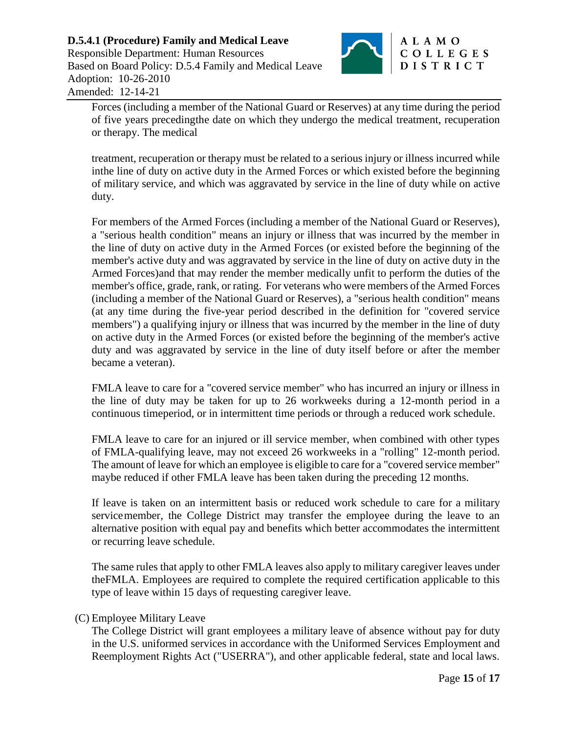

Forces (including a member of the National Guard or Reserves) at any time during the period of five years precedingthe date on which they undergo the medical treatment, recuperation or therapy. The medical

treatment, recuperation or therapy must be related to a serious injury or illness incurred while inthe line of duty on active duty in the Armed Forces or which existed before the beginning of military service, and which was aggravated by service in the line of duty while on active duty.

For members of the Armed Forces (including a member of the National Guard or Reserves), a "serious health condition" means an injury or illness that was incurred by the member in the line of duty on active duty in the Armed Forces (or existed before the beginning of the member's active duty and was aggravated by service in the line of duty on active duty in the Armed Forces)and that may render the member medically unfit to perform the duties of the member's office, grade, rank, or rating. For veterans who were members of the Armed Forces (including a member of the National Guard or Reserves), a "serious health condition" means (at any time during the five-year period described in the definition for "covered service members") a qualifying injury or illness that was incurred by the member in the line of duty on active duty in the Armed Forces (or existed before the beginning of the member's active duty and was aggravated by service in the line of duty itself before or after the member became a veteran).

FMLA leave to care for a "covered service member" who has incurred an injury or illness in the line of duty may be taken for up to 26 workweeks during a 12-month period in a continuous timeperiod, or in intermittent time periods or through a reduced work schedule.

FMLA leave to care for an injured or ill service member, when combined with other types of FMLA-qualifying leave, may not exceed 26 workweeks in a "rolling" 12-month period. The amount of leave for which an employee is eligible to care for a "covered service member" maybe reduced if other FMLA leave has been taken during the preceding 12 months.

If leave is taken on an intermittent basis or reduced work schedule to care for a military servicemember, the College District may transfer the employee during the leave to an alternative position with equal pay and benefits which better accommodates the intermittent or recurring leave schedule.

The same rules that apply to other FMLA leaves also apply to military caregiver leaves under theFMLA. Employees are required to complete the required certification applicable to this type of leave within 15 days of requesting caregiver leave.

# (C) Employee Military Leave

The College District will grant employees a military leave of absence without pay for duty in the U.S. uniformed services in accordance with the Uniformed Services Employment and Reemployment Rights Act ("USERRA"), and other applicable federal, state and local laws.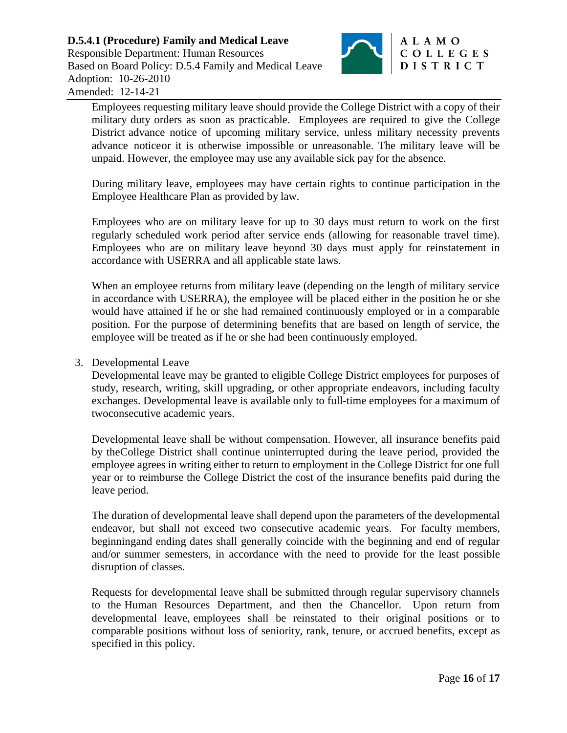

Employees requesting military leave should provide the College District with a copy of their military duty orders as soon as practicable. Employees are required to give the College District advance notice of upcoming military service, unless military necessity prevents advance noticeor it is otherwise impossible or unreasonable. The military leave will be unpaid. However, the employee may use any available sick pay for the absence.

During military leave, employees may have certain rights to continue participation in the Employee Healthcare Plan as provided by law.

Employees who are on military leave for up to 30 days must return to work on the first regularly scheduled work period after service ends (allowing for reasonable travel time). Employees who are on military leave beyond 30 days must apply for reinstatement in accordance with USERRA and all applicable state laws.

When an employee returns from military leave (depending on the length of military service in accordance with USERRA), the employee will be placed either in the position he or she would have attained if he or she had remained continuously employed or in a comparable position. For the purpose of determining benefits that are based on length of service, the employee will be treated as if he or she had been continuously employed.

### 3. Developmental Leave

Developmental leave may be granted to eligible College District employees for purposes of study, research, writing, skill upgrading, or other appropriate endeavors, including faculty exchanges. Developmental leave is available only to full-time employees for a maximum of twoconsecutive academic years.

Developmental leave shall be without compensation. However, all insurance benefits paid by theCollege District shall continue uninterrupted during the leave period, provided the employee agrees in writing either to return to employment in the College District for one full year or to reimburse the College District the cost of the insurance benefits paid during the leave period.

The duration of developmental leave shall depend upon the parameters of the developmental endeavor, but shall not exceed two consecutive academic years. For faculty members, beginningand ending dates shall generally coincide with the beginning and end of regular and/or summer semesters, in accordance with the need to provide for the least possible disruption of classes.

Requests for developmental leave shall be submitted through regular supervisory channels to the Human Resources Department, and then the Chancellor. Upon return from developmental leave, employees shall be reinstated to their original positions or to comparable positions without loss of seniority, rank, tenure, or accrued benefits, except as specified in this policy.